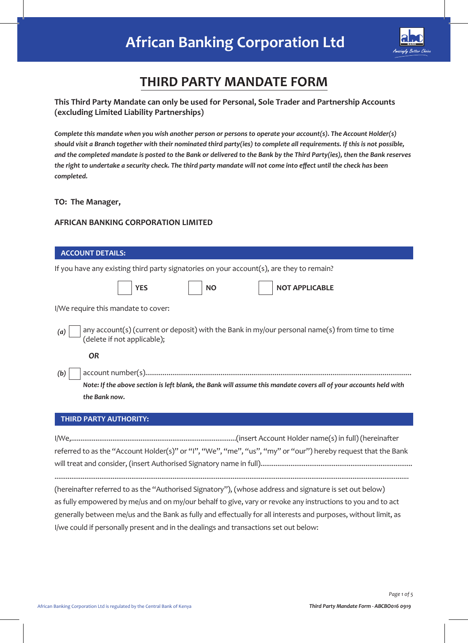

# **THIRD PARTY MANDATE FORM**

## **This Third Party Mandate can only be used for Personal, Sole Trader and Partnership Accounts (excluding Limited Liability Partnerships)**

*Complete this mandate when you wish another person or persons to operate your account(s). The Account Holder(s) should visit a Branch together with their nominated third party(ies) to complete all requirements. If this is not possible, and the completed mandate is posted to the Bank or delivered to the Bank by the Third Party(ies), then the Bank reserves the right to undertake a security check. The third party mandate will not come into effect until the check has been completed.* 

#### **TO: The Manager,**

#### **AFRICAN BANKING CORPORATION LIMITED**

| <b>ACCOUNT DETAILS:</b>                                                                                                                           |  |  |  |  |
|---------------------------------------------------------------------------------------------------------------------------------------------------|--|--|--|--|
| If you have any existing third party signatories on your account(s), are they to remain?                                                          |  |  |  |  |
| <b>YES</b><br><b>NOT APPLICABLE</b><br><b>NO</b>                                                                                                  |  |  |  |  |
| I/We require this mandate to cover:                                                                                                               |  |  |  |  |
| any account(s) (current or deposit) with the Bank in my/our personal name(s) from time to time<br>(a)<br>(delete if not applicable);<br><b>OR</b> |  |  |  |  |
| (b)                                                                                                                                               |  |  |  |  |
| Note: If the above section is left blank, the Bank will assume this mandate covers all of your accounts held with                                 |  |  |  |  |
| the Bank now.                                                                                                                                     |  |  |  |  |
| <b>THIRD PARTY AUTHORITY:</b>                                                                                                                     |  |  |  |  |

| referred to as the "Account Holder(s)" or "I", "We", "me", "us", "my" or "our") hereby request that the Bank |  |
|--------------------------------------------------------------------------------------------------------------|--|
|                                                                                                              |  |
|                                                                                                              |  |

.............................................................................................................................................................................................

(hereinafter referred to as the "Authorised Signatory"), (whose address and signature is set out below) as fully empowered by me/us and on my/our behalf to give, vary or revoke any instructions to you and to act generally between me/us and the Bank as fully and effectually for all interests and purposes, without limit, as I/we could if personally present and in the dealings and transactions set out below: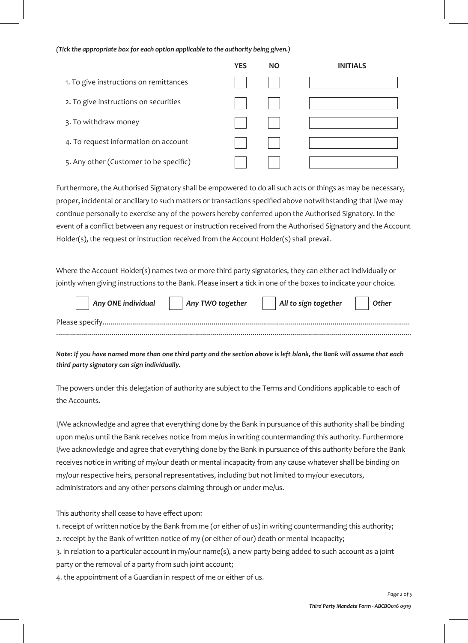#### *(Tick the appropriate box for each option applicable to the authority being given.)*

|                                        | <b>YES</b> | <b>NO</b> | <b>INITIALS</b> |
|----------------------------------------|------------|-----------|-----------------|
| 1. To give instructions on remittances |            |           |                 |
| 2. To give instructions on securities  |            |           |                 |
| 3. To withdraw money                   |            |           |                 |
| 4. To request information on account   |            |           |                 |
| 5. Any other (Customer to be specific) |            |           |                 |

Furthermore, the Authorised Signatory shall be empowered to do all such acts or things as may be necessary, proper, incidental or ancillary to such matters or transactions specified above notwithstanding that I/we may continue personally to exercise any of the powers hereby conferred upon the Authorised Signatory. In the event of a conflict between any request or instruction received from the Authorised Signatory and the Account Holder(s), the request or instruction received from the Account Holder(s) shall prevail.

Where the Account Holder(s) names two or more third party signatories, they can either act individually or jointly when giving instructions to the Bank. Please insert a tick in one of the boxes to indicate your choice.

| $\overline{a}$ Any ONE individual | Any TWO together | All to sign together | Other |
|-----------------------------------|------------------|----------------------|-------|
|                                   |                  |                      |       |
|                                   |                  |                      |       |

*Note: If you have named more than one third party and the section above is left blank, the Bank will assume that each third party signatory can sign individually.* 

The powers under this delegation of authority are subject to the Terms and Conditions applicable to each of the Accounts*.*

I/We acknowledge and agree that everything done by the Bank in pursuance of this authority shall be binding upon me/us until the Bank receives notice from me/us in writing countermanding this authority. Furthermore I/we acknowledge and agree that everything done by the Bank in pursuance of this authority before the Bank receives notice in writing of my/our death or mental incapacity from any cause whatever shall be binding on my/our respective heirs, personal representatives, including but not limited to my/our executors, administrators and any other persons claiming through or under me/us.

This authority shall cease to have effect upon:

1. receipt of written notice by the Bank from me (or either of us) in writing countermanding this authority;

2. receipt by the Bank of written notice of my (or either of our) death or mental incapacity;

3. in relation to a particular account in my/our name(s), a new party being added to such account as a joint party or the removal of a party from such joint account;

4. the appointment of a Guardian in respect of me or either of us.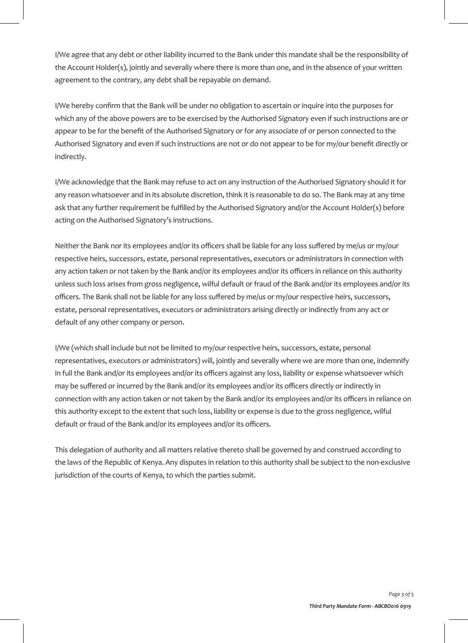I/We agree that any debt or other liability incurred to the Bank under this mandate shall be the responsibility of the Account Holder(s), jointly and severally where there is more than one, and in the absence of your written agreement to the contrary, any debt shall be repayable on demand.

I/We hereby confirm that the Bank will be under no obligation to ascertain or inquire into the purposes for which any of the above powers are to be exercised by the Authorised Signatory even if such instructions are or appear to be for the benefit of the Authorised Signatory or for any associate of or person connected to the Authorised Signatory and even if such instructions are not or do not appear to be for my/our benefit directly or indirectly.

I/We acknowledge that the Bank may refuse to act on any instruction of the Authorised Signatory should it for any reason whatsoever and in its absolute discretion, think it is reasonable to do so. The Bank may at any time ask that any further requirement be fulfilled by the Authorised Signatory and/or the Account Holder(s) before acting on the Authorised Signatory's instructions.

Neither the Bank nor its employees and/or its officers shall be liable for any loss suffered by me/us or my/our respective heirs, successors, estate, personal representatives, executors or administrators in connection with any action taken or not taken by the Bank and/or its employees and/or its officers in reliance on this authority unless such loss arises from gross negligence, wilful default or fraud of the Bank and/or its employees and/or its officers. The Bank shall not be liable for any loss suffered by me/us or my/our respective heirs, successors, estate, personal representatives, executors or administrators arising directly or indirectly from any act or default of any other company or person.

I/We (which shall include but not be limited to my/our respective heirs, successors, estate, personal representatives, executors or administrators) will, jointly and severally where we are more than one, indemnify in full the Bank and/or its employees and/or its officers against any loss, liability or expense whatsoever which may be suffered or incurred by the Bank and/or its employees and/or its officers directly or indirectly in connection with any action taken or not taken by the Bank and/or its employees and/or its officers in reliance on this authority except to the extent that such loss, liability or expense is due to the gross negligence, wilful default or fraud of the Bank and/or its employees and/or its officers.

This delegation of authority and all matters relative thereto shall be governed by and construed according to the laws of the Republic of Kenya. Any disputes in relation to this authority shall be subject to the non-exclusive jurisdiction of the courts of Kenya, to which the parties submit.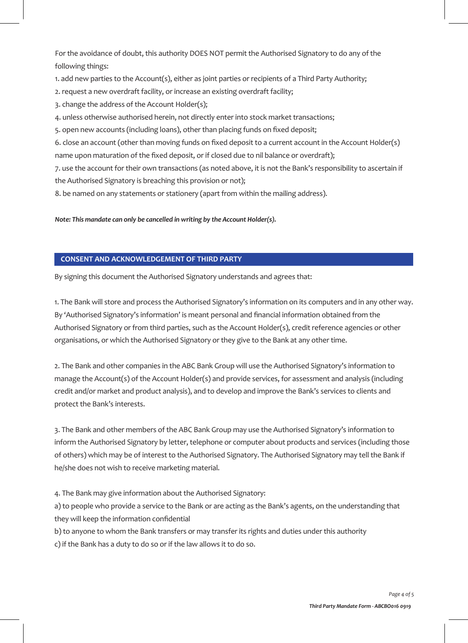For the avoidance of doubt, this authority DOES NOT permit the Authorised Signatory to do any of the following things:

1. add new parties to the Account(s), either as joint parties or recipients of a Third Party Authority;

- 2. request a new overdraft facility, or increase an existing overdraft facility;
- 3. change the address of the Account Holder(s);
- 4. unless otherwise authorised herein, not directly enter into stock market transactions;
- 5. open new accounts (including loans), other than placing funds on fixed deposit;

6. close an account (other than moving funds on fixed deposit to a current account in the Account Holder(s) name upon maturation of the fixed deposit, or if closed due to nil balance or overdraft);

7. use the account for their own transactions (as noted above, it is not the Bank's responsibility to ascertain if the Authorised Signatory is breaching this provision or not);

8. be named on any statements or stationery (apart from within the mailing address).

*Note: This mandate can only be cancelled in writing by the Account Holder(s).*

### **CONSENT AND ACKNOWLEDGEMENT OF THIRD PARTY**

By signing this document the Authorised Signatory understands and agrees that:

1. The Bank will store and process the Authorised Signatory's information on its computers and in any other way. By 'Authorised Signatory's information' is meant personal and financial information obtained from the Authorised Signatory or from third parties, such as the Account Holder(s), credit reference agencies or other organisations, or which the Authorised Signatory or they give to the Bank at any other time.

2. The Bank and other companies in the ABC Bank Group will use the Authorised Signatory's information to manage the Account(s) of the Account Holder(s) and provide services, for assessment and analysis (including credit and/or market and product analysis), and to develop and improve the Bank's services to clients and protect the Bank's interests.

3. The Bank and other members of the ABC Bank Group may use the Authorised Signatory's information to inform the Authorised Signatory by letter, telephone or computer about products and services (including those of others) which may be of interest to the Authorised Signatory. The Authorised Signatory may tell the Bank if he/she does not wish to receive marketing material.

4. The Bank may give information about the Authorised Signatory:

a) to people who provide a service to the Bank or are acting as the Bank's agents, on the understanding that they will keep the information confidential

b) to anyone to whom the Bank transfers or may transfer its rights and duties under this authority

c) if the Bank has a duty to do so or if the law allows it to do so.